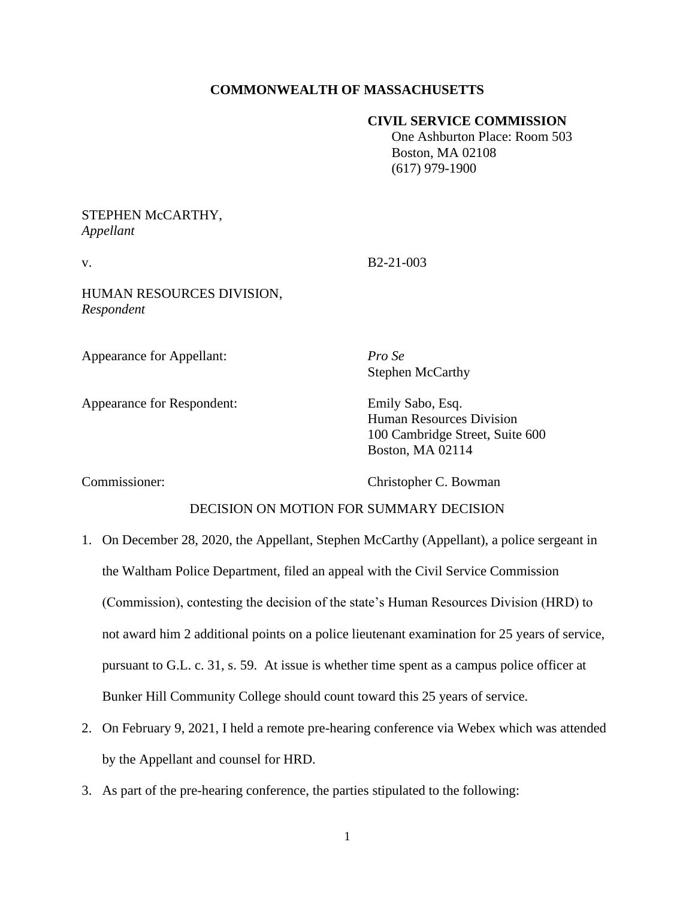# **COMMONWEALTH OF MASSACHUSETTS**

### **CIVIL SERVICE COMMISSION**

 One Ashburton Place: Room 503 Boston, MA 02108 (617) 979-1900

## STEPHEN McCARTHY, *Appellant*

v. B2-21-003

HUMAN RESOURCES DIVISION, *Respondent*

Appearance for Appellant: *Pro Se*

Stephen McCarthy

Appearance for Respondent: Emily Sabo, Esq.

Human Resources Division 100 Cambridge Street, Suite 600 Boston, MA 02114

Commissioner: Christopher C. Bowman

# DECISION ON MOTION FOR SUMMARY DECISION

- 1. On December 28, 2020, the Appellant, Stephen McCarthy (Appellant), a police sergeant in the Waltham Police Department, filed an appeal with the Civil Service Commission (Commission), contesting the decision of the state's Human Resources Division (HRD) to not award him 2 additional points on a police lieutenant examination for 25 years of service, pursuant to G.L. c. 31, s. 59. At issue is whether time spent as a campus police officer at Bunker Hill Community College should count toward this 25 years of service.
- 2. On February 9, 2021, I held a remote pre-hearing conference via Webex which was attended by the Appellant and counsel for HRD.
- 3. As part of the pre-hearing conference, the parties stipulated to the following: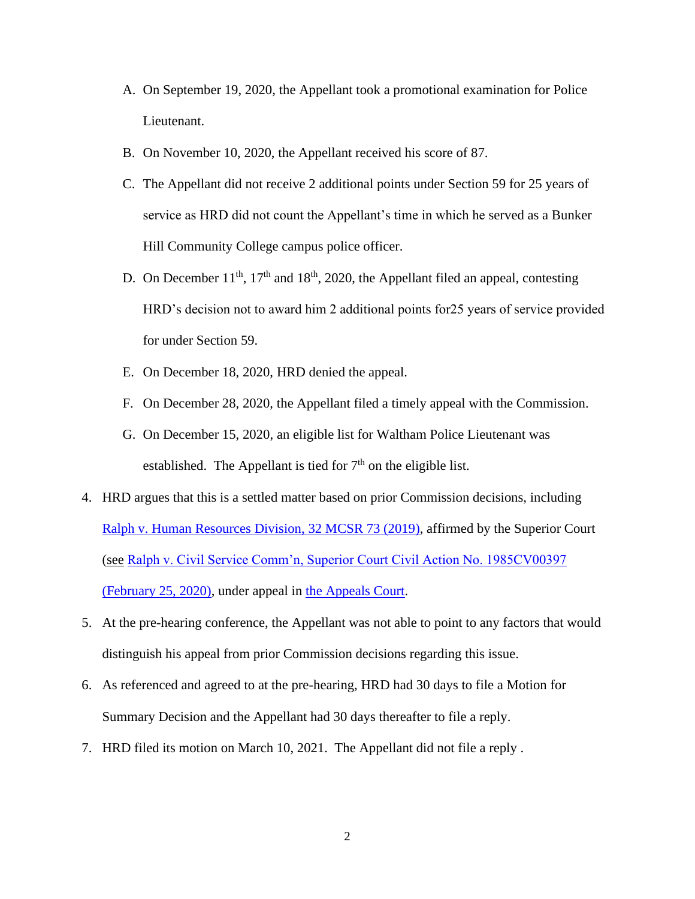- A. On September 19, 2020, the Appellant took a promotional examination for Police Lieutenant.
- B. On November 10, 2020, the Appellant received his score of 87.
- C. The Appellant did not receive 2 additional points under Section 59 for 25 years of service as HRD did not count the Appellant's time in which he served as a Bunker Hill Community College campus police officer.
- D. On December  $11<sup>th</sup>$ ,  $17<sup>th</sup>$  and  $18<sup>th</sup>$ , 2020, the Appellant filed an appeal, contesting HRD's decision not to award him 2 additional points for25 years of service provided for under Section 59.
- E. On December 18, 2020, HRD denied the appeal.
- F. On December 28, 2020, the Appellant filed a timely appeal with the Commission.
- G. On December 15, 2020, an eligible list for Waltham Police Lieutenant was established. The Appellant is tied for  $7<sup>th</sup>$  on the eligible list.
- 4. HRD argues that this is a settled matter based on prior Commission decisions, including [Ralph v. Human Resources Division, 32 MCSR 73 \(2019\),](https://www.mass.gov/doc/ralph-thomas-v-human-resources-division-21419/download) affirmed by the Superior Court (see [Ralph v. Civil Service Comm'n, Superior Court Civil Action No. 1985CV00397](https://www.mass.gov/doc/ralph-thomas-v-human-resources-division-related-superior-court-decision-22520/download)  [\(February 25, 2020\),](https://www.mass.gov/doc/ralph-thomas-v-human-resources-division-related-superior-court-decision-22520/download) under appeal in [the Appeals Court.](https://www.ma-appellatecourts.org/docket/2020-P-0977)
- 5. At the pre-hearing conference, the Appellant was not able to point to any factors that would distinguish his appeal from prior Commission decisions regarding this issue.
- 6. As referenced and agreed to at the pre-hearing, HRD had 30 days to file a Motion for Summary Decision and the Appellant had 30 days thereafter to file a reply.
- 7. HRD filed its motion on March 10, 2021. The Appellant did not file a reply .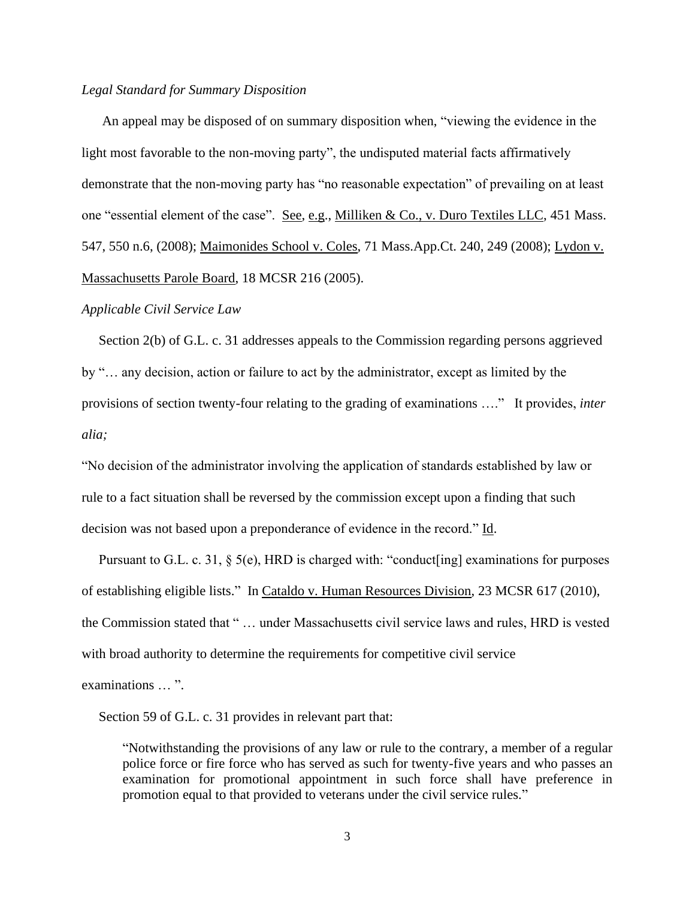#### *Legal Standard for Summary Disposition*

An appeal may be disposed of on summary disposition when, "viewing the evidence in the light most favorable to the non-moving party", the undisputed material facts affirmatively demonstrate that the non-moving party has "no reasonable expectation" of prevailing on at least one "essential element of the case". See, e.g., Milliken & Co., v. Duro Textiles LLC, 451 Mass. 547, 550 n.6, (2008); Maimonides School v. Coles, 71 Mass.App.Ct. 240, 249 (2008); Lydon v. Massachusetts Parole Board, 18 MCSR 216 (2005).

#### *Applicable Civil Service Law*

 Section 2(b) of G.L. c. 31 addresses appeals to the Commission regarding persons aggrieved by "… any decision, action or failure to act by the administrator, except as limited by the provisions of section twenty-four relating to the grading of examinations …." It provides, *inter alia;*

"No decision of the administrator involving the application of standards established by law or rule to a fact situation shall be reversed by the commission except upon a finding that such decision was not based upon a preponderance of evidence in the record." Id.

 Pursuant to G.L. c. 31, § 5(e), HRD is charged with: "conduct[ing] examinations for purposes of establishing eligible lists." In Cataldo v. Human Resources Division, 23 MCSR 617 (2010), the Commission stated that " … under Massachusetts civil service laws and rules, HRD is vested with broad authority to determine the requirements for competitive civil service examinations … ".

Section 59 of G.L. c. 31 provides in relevant part that:

"Notwithstanding the provisions of any law or rule to the contrary, a member of a regular police force or fire force who has served as such for twenty-five years and who passes an examination for promotional appointment in such force shall have preference in promotion equal to that provided to veterans under the civil service rules."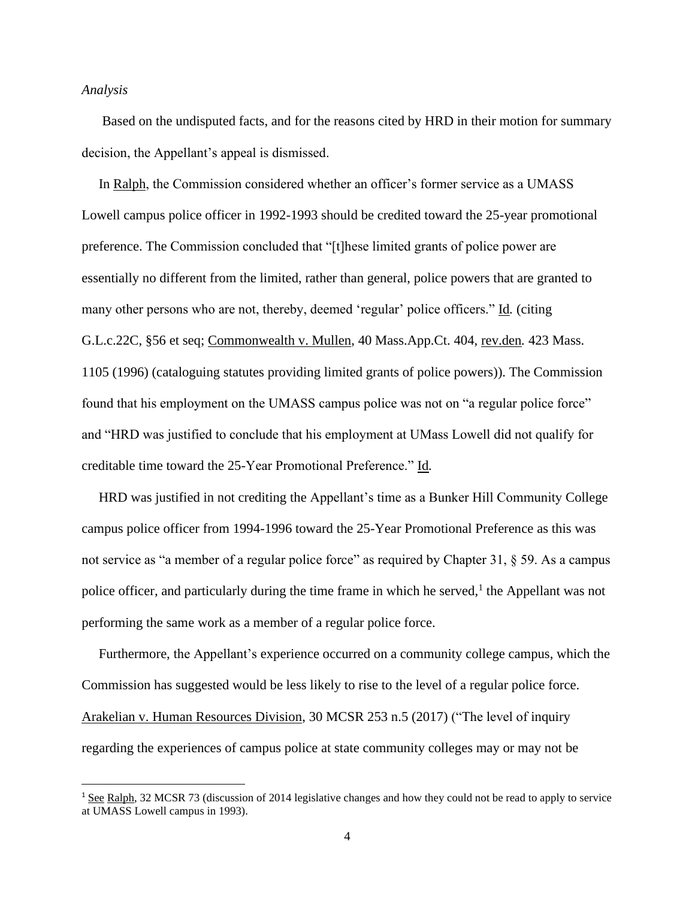#### *Analysis*

 Based on the undisputed facts, and for the reasons cited by HRD in their motion for summary decision, the Appellant's appeal is dismissed.

 In Ralph, the Commission considered whether an officer's former service as a UMASS Lowell campus police officer in 1992-1993 should be credited toward the 25-year promotional preference. The Commission concluded that "[t]hese limited grants of police power are essentially no different from the limited, rather than general, police powers that are granted to many other persons who are not, thereby, deemed 'regular' police officers." Id*.* (citing G.L.c.22C, §56 et seq; Commonwealth v. Mullen, 40 Mass.App.Ct. 404, rev.den*.* 423 Mass. 1105 (1996) (cataloguing statutes providing limited grants of police powers)). The Commission found that his employment on the UMASS campus police was not on "a regular police force" and "HRD was justified to conclude that his employment at UMass Lowell did not qualify for creditable time toward the 25-Year Promotional Preference." Id*.*

 HRD was justified in not crediting the Appellant's time as a Bunker Hill Community College campus police officer from 1994-1996 toward the 25-Year Promotional Preference as this was not service as "a member of a regular police force" as required by Chapter 31, § 59. As a campus police officer, and particularly during the time frame in which he served,  $\frac{1}{1}$  the Appellant was not performing the same work as a member of a regular police force.

 Furthermore, the Appellant's experience occurred on a community college campus, which the Commission has suggested would be less likely to rise to the level of a regular police force. Arakelian v. Human Resources Division, 30 MCSR 253 n.5 (2017) ("The level of inquiry regarding the experiences of campus police at state community colleges may or may not be

<sup>1</sup> See Ralph, 32 MCSR 73 (discussion of 2014 legislative changes and how they could not be read to apply to service at UMASS Lowell campus in 1993).